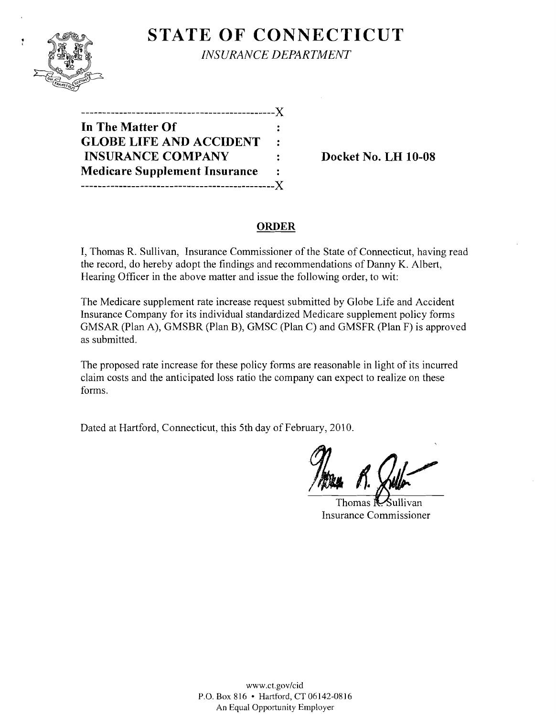

ÿ

**STATE OF CONNECTICUT** *INSURANCE DEPARTMENT* 

**----------------------------------------------J( In The Matter Of GLOBE LIFE AND ACCIDENT INSURANCE COMPANY** : Docket No. LH 10-08 **Medicare Supplement Insurance**   $\mathbf{r}$ **----------------------------------------------J(** 

# **ORDER**

I, Thomas R. Sullivan, Insurance Commissioner of the State of Connecticut, having read the record, do hereby adopt the findings and recommendations of Danny K. Albert, Hearing Officer in the above matter and issue the following order, to wit:

The Medicare supplement rate increase request submitted by Globe Life and Accident Insurance Company for its individual standardized Medicare supplement policy forms GMSAR (Plan A), GMSBR (Plan B), GMSC (Plan C) and GMSFR (Plan F) is approved as submitted.

The proposed rate increase for these policy forms are reasonable in light of its incurred claim costs and the anticipated loss ratio the company can expect to realize on these forms.

Dated at Hartford, Connecticut, this 5th day of February, 2010.

Thomas **R-Sullivan** Insurance Commissioner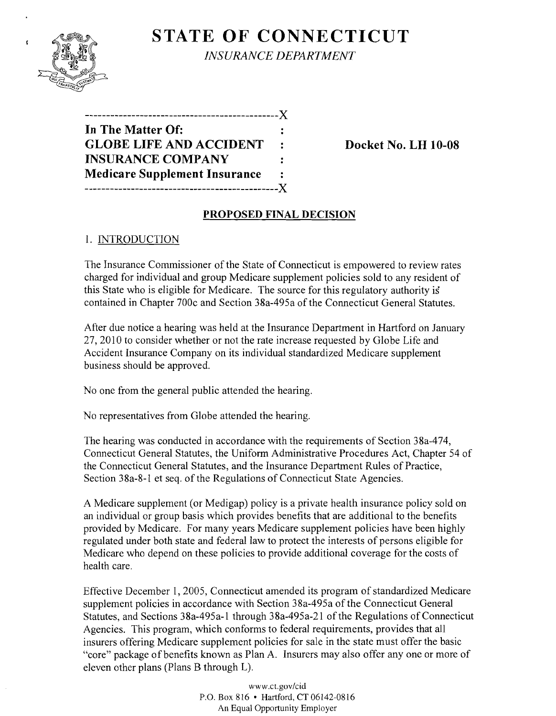

**STATE OF CONNECTICUT** *INSURANCE DEPARTMENT* 

| .-----------------------------X      |                |
|--------------------------------------|----------------|
| In The Matter Of:                    | :              |
| <b>GLOBE LIFE AND ACCIDENT</b>       | $\cdot$        |
| <b>INSURANCE COMPANY</b>             | :              |
| <b>Medicare Supplement Insurance</b> | $\ddot{\cdot}$ |
| ------------------------             | $-X$           |

**Docket No. LH 10-08** 

# **PROPOSED FINAL DECISION**

## 1. INTRODUCTION

The Insurance Commissioner of the State of Connecticut is empowered to review rates charged for individual and group Medicare supplement policies sold to any resident of this State who is eligible for Medicare. The source for this regulatory authority is contained in Chapter 700c and Section 38a-495a of the Connecticut General Statutes.

After due notice a hearing was held at the Insurance Department in Hartford on January 27,2010 to consider whether or not the rate increase requested by Globe Life and Accident Insurance Company on its individual standardized Medicare supplement business should be approved.

No one from the general public attended the hearing.

No representatives from Globe attended the hearing.

The hearing was conducted in accordance with the requirements of Section 38a-474, Connecticut General Statutes, the Uniform Administrative Procedures Act, Chapter 54 of the Connecticut General Statutes, and the Insurance Department Rules of Practice, Section 38a-8-1 et seq. of the Regulations of Connecticut State Agencies.

A Medicare supplement (or Medigap) policy is a private health insurance policy sold on an individual or group basis which provides benefits that are additional to the benefits provided by Medicare. For many years Medicare supplement policies have been highly regulated under both state and federal law to protect the interests of persons eligible for Medicare who depend on these policies to provide additional coverage for the costs of health care.

Effective December 1, 2005, Connecticut amended its program of standardized Medicare supplement policies in accordance with Section 38a-495a of the Connecticut General Statutes, and Sections 38a-495a-l through 38a-495a-21 of the Regulations of Connecticut Agencies. This program, which conforms to federal requirements, provides that all insurers offering Medicare supplement policies for sale in the state must offer the basic "core" package of benefits known as Plan A. Insurers may also offer any one or more of eleven other plans (Plans B through L).

> www.ct.gov/cid P.O. Box 816 • Hartford, CT 06142-0816 An Equal Opportunity Employer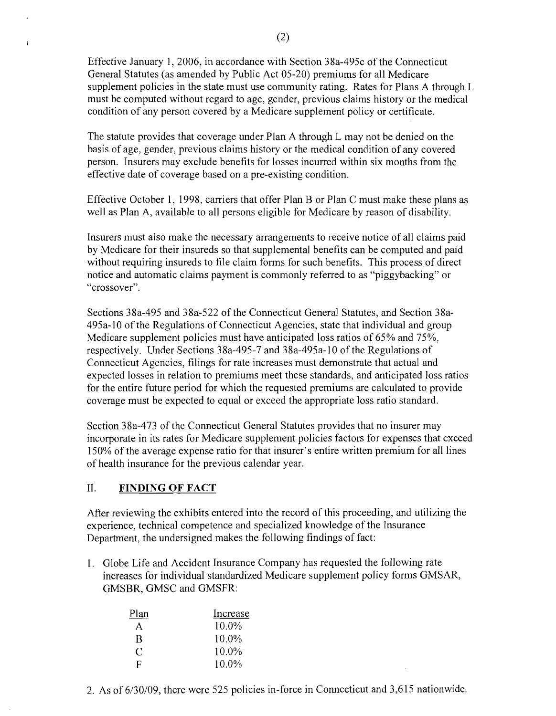Effective January 1,2006, in accordance with Section 38a-495c of the Connecticut General Statutes (as amended by Public Act 05-20) premiums for all Medicare supplement policies in the state must use community rating. Rates for Plans A through L must be computed without regard to age, gender, previous claims history or the medical condition of any person covered by a Medicare supplement policy or certificate.

The statute provides that coverage under Plan A through L may not be denied on the basis of age, gender, previous claims history or the medical condition of any covered person. Insurers may exclude benefits for losses incurred within six months from the effective date of coverage based on a pre-existing condition.

Effective October 1, 1998, carriers that offer Plan B or Plan C must make these plans as well as Plan A, available to all persons eligible for Medicare by reason of disability.

Insurers must also make the necessary arrangements to receive notice of all claims paid by Medicare for their insureds so that supplemental benefits can be computed and paid without requiring insureds to file claim forms for such benefits. This process of direct notice and automatic claims payment is commonly referred to as "piggybacking" or "crossover".

Sections 38a-495 and 38a-522 ofthe Connecticut General Statutes, and Section 38a-495a-10 ofthe Regulations of Connecticut Agencies, state that individual and group Medicare supplement policies must have anticipated loss ratios of 65% and 75%, respectively. Under Sections 38a-495-7 and 38a-495a-10 of the Regulations of Connecticut Agencies, filings for rate increases must demonstrate that actual and expected losses in relation to premiums meet these standards, and anticipated loss ratios for the entire future period for which the requested premiums are calculated to provide coverage must be expected to equal or exceed the appropriate loss ratio standard.

Section 38a-473 of the Connecticut General Statutes provides that no insurer may incorporate in its rates for Medicare supplement policies factors for expenses that exceed 150% of the average expense ratio for that insurer's entire written premium for all lines of health insurance for the previous calendar year.

### II. **FINDING OF FACT**

 $\mathbf{f}$ 

After reviewing the exhibits entered into the record of this proceeding, and utilizing the experience, technical competence and specialized knowledge of the Insurance Department, the undersigned makes the following findings of fact:

1. Globe Life and Accident Insurance Company has requested the following rate increases for individual standardized Medicare supplement policy forms GMSAR, GMSBR, GMSC and GMSFR:

| Plan | Increase |
|------|----------|
| A    | $10.0\%$ |
| R    | 10.0%    |
| C    | $10.0\%$ |
| F    | $10.0\%$ |